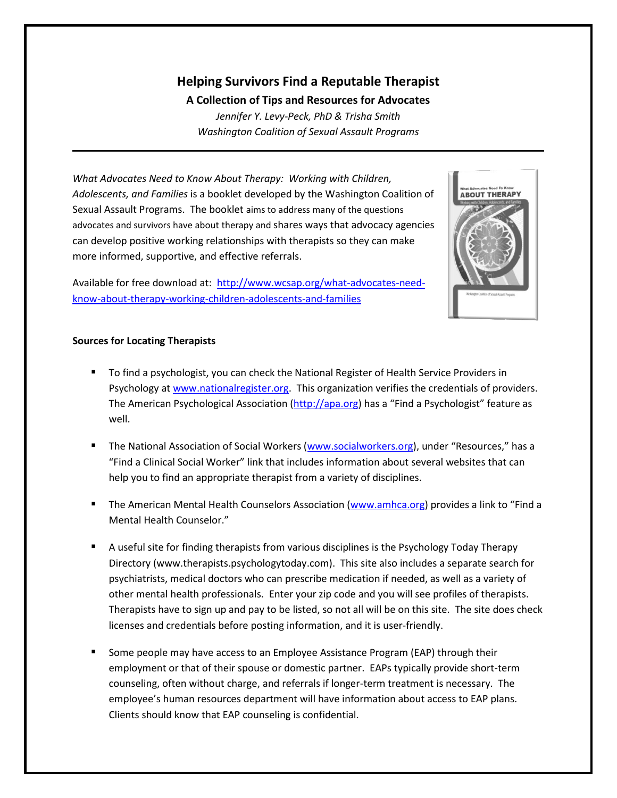## **Helping Survivors Find a Reputable Therapist**

**A Collection of Tips and Resources for Advocates**

*Jennifer Y. Levy-Peck, PhD & Trisha Smith Washington Coalition of Sexual Assault Programs*

*What Advocates Need to Know About Therapy: Working with Children, Adolescents, and Families* is a booklet developed by the Washington Coalition of Sexual Assault Programs. The booklet aims to address many of the questions advocates and survivors have about therapy and shares ways that advocacy agencies can develop positive working relationships with therapists so they can make more informed, supportive, and effective referrals.

Available for free download at: [http://www.wcsap.org/what-advocates-need](http://www.wcsap.org/what-advocates-need-know-about-therapy-working-children-adolescents-and-families)[know-about-therapy-working-children-adolescents-and-families](http://www.wcsap.org/what-advocates-need-know-about-therapy-working-children-adolescents-and-families)



## **Sources for Locating Therapists**

- To find a psychologist, you can check the National Register of Health Service Providers in Psychology a[t www.nationalregister.org.](http://www.nationalregister.org/) This organization verifies the credentials of providers. The American Psychological Association [\(http://apa.org](http://apa.org/)) has a "Find a Psychologist" feature as well.
- The National Association of Social Workers [\(www.socialworkers.org](http://www.socialworkers.org/)), under "Resources," has a "Find a Clinical Social Worker" link that includes information about several websites that can help you to find an appropriate therapist from a variety of disciplines.
- The American Mental Health Counselors Association [\(www.amhca.org](http://www.amhca.org/)) provides a link to "Find a Mental Health Counselor."
- **A** useful site for finding therapists from various disciplines is the Psychology Today Therapy Directory (www.therapists.psychologytoday.com). This site also includes a separate search for psychiatrists, medical doctors who can prescribe medication if needed, as well as a variety of other mental health professionals. Enter your zip code and you will see profiles of therapists. Therapists have to sign up and pay to be listed, so not all will be on this site. The site does check licenses and credentials before posting information, and it is user-friendly.
- Some people may have access to an Employee Assistance Program (EAP) through their employment or that of their spouse or domestic partner. EAPs typically provide short-term counseling, often without charge, and referrals if longer-term treatment is necessary. The employee's human resources department will have information about access to EAP plans. Clients should know that EAP counseling is confidential.